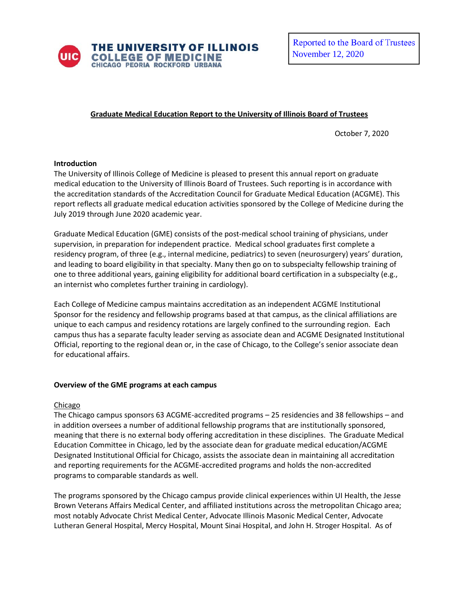

# **Graduate Medical Education Report to the University of Illinois Board of Trustees**

October 7, 2020

#### **Introduction**

The University of Illinois College of Medicine is pleased to present this annual report on graduate medical education to the University of Illinois Board of Trustees. Such reporting is in accordance with the accreditation standards of the Accreditation Council for Graduate Medical Education (ACGME). This report reflects all graduate medical education activities sponsored by the College of Medicine during the July 2019 through June 2020 academic year.

Graduate Medical Education (GME) consists of the post-medical school training of physicians, under supervision, in preparation for independent practice. Medical school graduates first complete a residency program, of three (e.g., internal medicine, pediatrics) to seven (neurosurgery) years' duration, and leading to board eligibility in that specialty. Many then go on to subspecialty fellowship training of one to three additional years, gaining eligibility for additional board certification in a subspecialty (e.g., an internist who completes further training in cardiology).

Each College of Medicine campus maintains accreditation as an independent ACGME Institutional Sponsor for the residency and fellowship programs based at that campus, as the clinical affiliations are unique to each campus and residency rotations are largely confined to the surrounding region. Each campus thus has a separate faculty leader serving as associate dean and ACGME Designated Institutional Official, reporting to the regional dean or, in the case of Chicago, to the College's senior associate dean for educational affairs.

## **Overview of the GME programs at each campus**

## Chicago

The Chicago campus sponsors 63 ACGME-accredited programs – 25 residencies and 38 fellowships – and in addition oversees a number of additional fellowship programs that are institutionally sponsored, meaning that there is no external body offering accreditation in these disciplines. The Graduate Medical Education Committee in Chicago, led by the associate dean for graduate medical education/ACGME Designated Institutional Official for Chicago, assists the associate dean in maintaining all accreditation and reporting requirements for the ACGME-accredited programs and holds the non-accredited programs to comparable standards as well.

The programs sponsored by the Chicago campus provide clinical experiences within UI Health, the Jesse Brown Veterans Affairs Medical Center, and affiliated institutions across the metropolitan Chicago area; most notably Advocate Christ Medical Center, Advocate Illinois Masonic Medical Center, Advocate Lutheran General Hospital, Mercy Hospital, Mount Sinai Hospital, and John H. Stroger Hospital. As of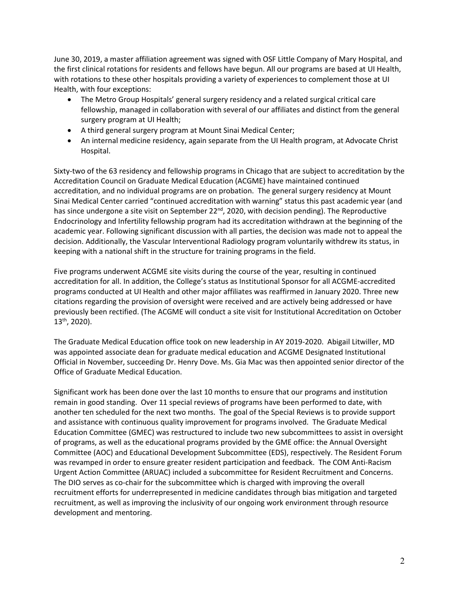June 30, 2019, a master affiliation agreement was signed with OSF Little Company of Mary Hospital, and the first clinical rotations for residents and fellows have begun. All our programs are based at UI Health, with rotations to these other hospitals providing a variety of experiences to complement those at UI Health, with four exceptions:

- The Metro Group Hospitals' general surgery residency and a related surgical critical care fellowship, managed in collaboration with several of our affiliates and distinct from the general surgery program at UI Health;
- A third general surgery program at Mount Sinai Medical Center;
- An internal medicine residency, again separate from the UI Health program, at Advocate Christ Hospital.

Sixty-two of the 63 residency and fellowship programs in Chicago that are subject to accreditation by the Accreditation Council on Graduate Medical Education (ACGME) have maintained continued accreditation, and no individual programs are on probation. The general surgery residency at Mount Sinai Medical Center carried "continued accreditation with warning" status this past academic year (and has since undergone a site visit on September 22<sup>nd</sup>, 2020, with decision pending). The Reproductive Endocrinology and Infertility fellowship program had its accreditation withdrawn at the beginning of the academic year. Following significant discussion with all parties, the decision was made not to appeal the decision. Additionally, the Vascular Interventional Radiology program voluntarily withdrew its status, in keeping with a national shift in the structure for training programs in the field.

Five programs underwent ACGME site visits during the course of the year, resulting in continued accreditation for all. In addition, the College's status as Institutional Sponsor for all ACGME-accredited programs conducted at UI Health and other major affiliates was reaffirmed in January 2020. Three new citations regarding the provision of oversight were received and are actively being addressed or have previously been rectified. (The ACGME will conduct a site visit for Institutional Accreditation on October 13th, 2020).

The Graduate Medical Education office took on new leadership in AY 2019-2020. Abigail Litwiller, MD was appointed associate dean for graduate medical education and ACGME Designated Institutional Official in November, succeeding Dr. Henry Dove. Ms. Gia Mac was then appointed senior director of the Office of Graduate Medical Education.

Significant work has been done over the last 10 months to ensure that our programs and institution remain in good standing. Over 11 special reviews of programs have been performed to date, with another ten scheduled for the next two months. The goal of the Special Reviews is to provide support and assistance with continuous quality improvement for programs involved. The Graduate Medical Education Committee (GMEC) was restructured to include two new subcommittees to assist in oversight of programs, as well as the educational programs provided by the GME office: the Annual Oversight Committee (AOC) and Educational Development Subcommittee (EDS), respectively. The Resident Forum was revamped in order to ensure greater resident participation and feedback. The COM Anti-Racism Urgent Action Committee (ARUAC) included a subcommittee for Resident Recruitment and Concerns. The DIO serves as co-chair for the subcommittee which is charged with improving the overall recruitment efforts for underrepresented in medicine candidates through bias mitigation and targeted recruitment, as well as improving the inclusivity of our ongoing work environment through resource development and mentoring.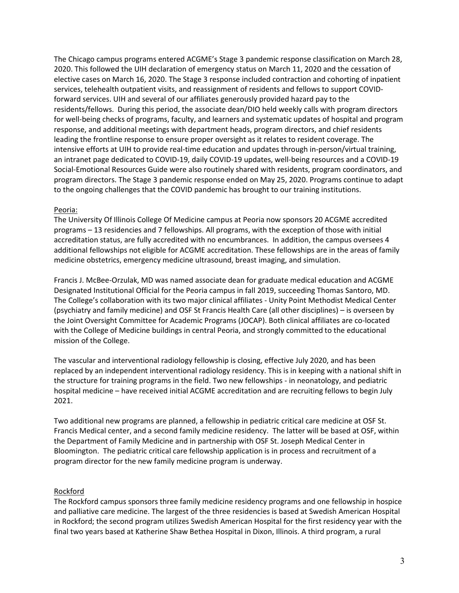The Chicago campus programs entered ACGME's Stage 3 pandemic response classification on March 28, 2020. This followed the UIH declaration of emergency status on March 11, 2020 and the cessation of elective cases on March 16, 2020. The Stage 3 response included contraction and cohorting of inpatient services, telehealth outpatient visits, and reassignment of residents and fellows to support COVIDforward services. UIH and several of our affiliates generously provided hazard pay to the residents/fellows. During this period, the associate dean/DIO held weekly calls with program directors for well-being checks of programs, faculty, and learners and systematic updates of hospital and program response, and additional meetings with department heads, program directors, and chief residents leading the frontline response to ensure proper oversight as it relates to resident coverage. The intensive efforts at UIH to provide real-time education and updates through in-person/virtual training, an intranet page dedicated to COVID-19, daily COVID-19 updates, well-being resources and a COVID-19 Social-Emotional Resources Guide were also routinely shared with residents, program coordinators, and program directors. The Stage 3 pandemic response ended on May 25, 2020. Programs continue to adapt to the ongoing challenges that the COVID pandemic has brought to our training institutions.

## Peoria:

The University Of Illinois College Of Medicine campus at Peoria now sponsors 20 ACGME accredited programs – 13 residencies and 7 fellowships. All programs, with the exception of those with initial accreditation status, are fully accredited with no encumbrances. In addition, the campus oversees 4 additional fellowships not eligible for ACGME accreditation. These fellowships are in the areas of family medicine obstetrics, emergency medicine ultrasound, breast imaging, and simulation.

Francis J. McBee-Orzulak, MD was named associate dean for graduate medical education and ACGME Designated Institutional Official for the Peoria campus in fall 2019, succeeding Thomas Santoro, MD. The College's collaboration with its two major clinical affiliates - Unity Point Methodist Medical Center (psychiatry and family medicine) and OSF St Francis Health Care (all other disciplines) – is overseen by the Joint Oversight Committee for Academic Programs (JOCAP). Both clinical affiliates are co-located with the College of Medicine buildings in central Peoria, and strongly committed to the educational mission of the College.

The vascular and interventional radiology fellowship is closing, effective July 2020, and has been replaced by an independent interventional radiology residency. This is in keeping with a national shift in the structure for training programs in the field. Two new fellowships - in neonatology, and pediatric hospital medicine – have received initial ACGME accreditation and are recruiting fellows to begin July 2021.

Two additional new programs are planned, a fellowship in pediatric critical care medicine at OSF St. Francis Medical center, and a second family medicine residency. The latter will be based at OSF, within the Department of Family Medicine and in partnership with OSF St. Joseph Medical Center in Bloomington. The pediatric critical care fellowship application is in process and recruitment of a program director for the new family medicine program is underway.

## Rockford

The Rockford campus sponsors three family medicine residency programs and one fellowship in hospice and palliative care medicine. The largest of the three residencies is based at Swedish American Hospital in Rockford; the second program utilizes Swedish American Hospital for the first residency year with the final two years based at Katherine Shaw Bethea Hospital in Dixon, Illinois. A third program, a rural